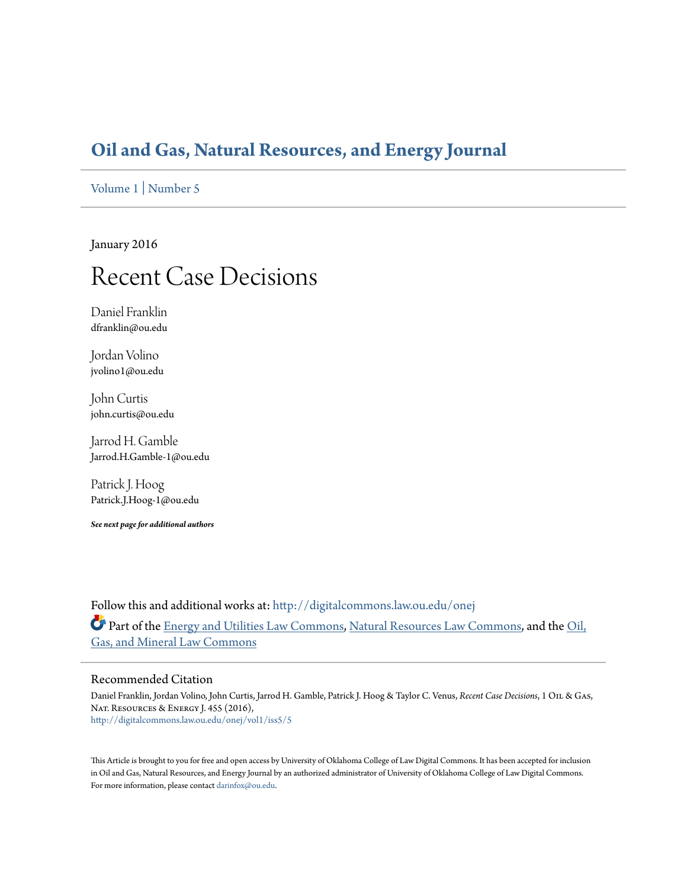### **[Oil and Gas, Natural Resources, and Energy Journal](http://digitalcommons.law.ou.edu/onej?utm_source=digitalcommons.law.ou.edu%2Fonej%2Fvol1%2Fiss5%2F5&utm_medium=PDF&utm_campaign=PDFCoverPages)**

[Volume 1](http://digitalcommons.law.ou.edu/onej/vol1?utm_source=digitalcommons.law.ou.edu%2Fonej%2Fvol1%2Fiss5%2F5&utm_medium=PDF&utm_campaign=PDFCoverPages) | [Number 5](http://digitalcommons.law.ou.edu/onej/vol1/iss5?utm_source=digitalcommons.law.ou.edu%2Fonej%2Fvol1%2Fiss5%2F5&utm_medium=PDF&utm_campaign=PDFCoverPages)

January 2016

## Recent Case Decisions

Daniel Franklin dfranklin@ou.edu

Jordan Volino jvolino1@ou.edu

John Curtis john.curtis@ou.edu

Jarrod H. Gamble Jarrod.H.Gamble-1@ou.edu

Patrick J. Hoog Patrick.J.Hoog-1@ou.edu

*See next page for additional authors*

Follow this and additional works at: [http://digitalcommons.law.ou.edu/onej](http://digitalcommons.law.ou.edu/onej?utm_source=digitalcommons.law.ou.edu%2Fonej%2Fvol1%2Fiss5%2F5&utm_medium=PDF&utm_campaign=PDFCoverPages) Part of the [Energy and Utilities Law Commons,](http://network.bepress.com/hgg/discipline/891?utm_source=digitalcommons.law.ou.edu%2Fonej%2Fvol1%2Fiss5%2F5&utm_medium=PDF&utm_campaign=PDFCoverPages) [Natural Resources Law Commons,](http://network.bepress.com/hgg/discipline/863?utm_source=digitalcommons.law.ou.edu%2Fonej%2Fvol1%2Fiss5%2F5&utm_medium=PDF&utm_campaign=PDFCoverPages) and the [Oil,](http://network.bepress.com/hgg/discipline/864?utm_source=digitalcommons.law.ou.edu%2Fonej%2Fvol1%2Fiss5%2F5&utm_medium=PDF&utm_campaign=PDFCoverPages) [Gas, and Mineral Law Commons](http://network.bepress.com/hgg/discipline/864?utm_source=digitalcommons.law.ou.edu%2Fonej%2Fvol1%2Fiss5%2F5&utm_medium=PDF&utm_campaign=PDFCoverPages)

#### Recommended Citation

Daniel Franklin, Jordan Volino, John Curtis, Jarrod H. Gamble, Patrick J. Hoog & Taylor C. Venus, *Recent Case Decisions*, 1 Oil & Gas, Nat. Resources & Energy J. 455 (2016), [http://digitalcommons.law.ou.edu/onej/vol1/iss5/5](http://digitalcommons.law.ou.edu/onej/vol1/iss5/5?utm_source=digitalcommons.law.ou.edu%2Fonej%2Fvol1%2Fiss5%2F5&utm_medium=PDF&utm_campaign=PDFCoverPages)

This Article is brought to you for free and open access by University of Oklahoma College of Law Digital Commons. It has been accepted for inclusion in Oil and Gas, Natural Resources, and Energy Journal by an authorized administrator of University of Oklahoma College of Law Digital Commons. For more information, please contact [darinfox@ou.edu](mailto:darinfox@ou.edu).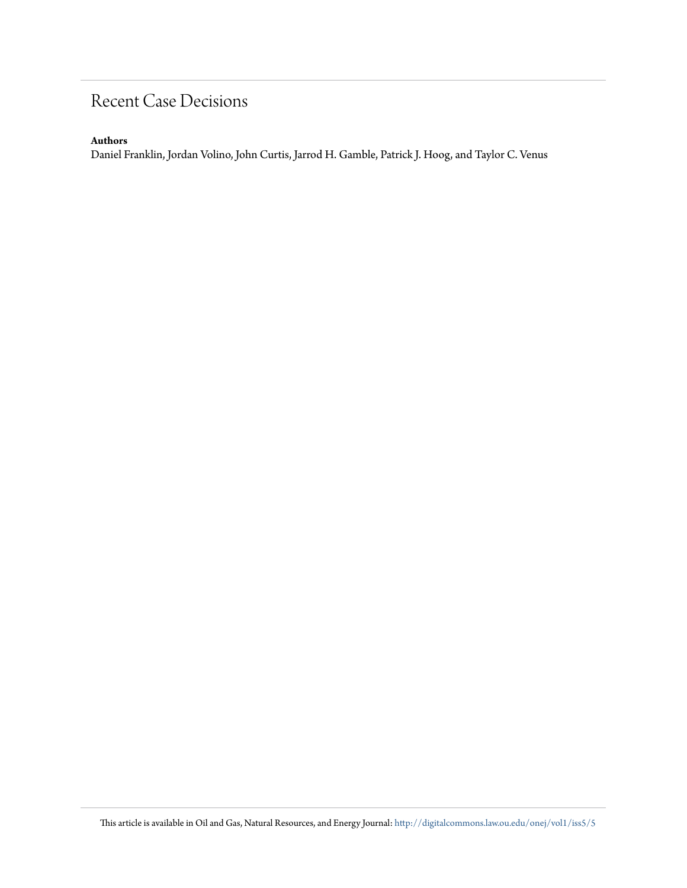### Recent Case Decisions

#### **Authors**

Daniel Franklin, Jordan Volino, John Curtis, Jarrod H. Gamble, Patrick J. Hoog, and Taylor C. Venus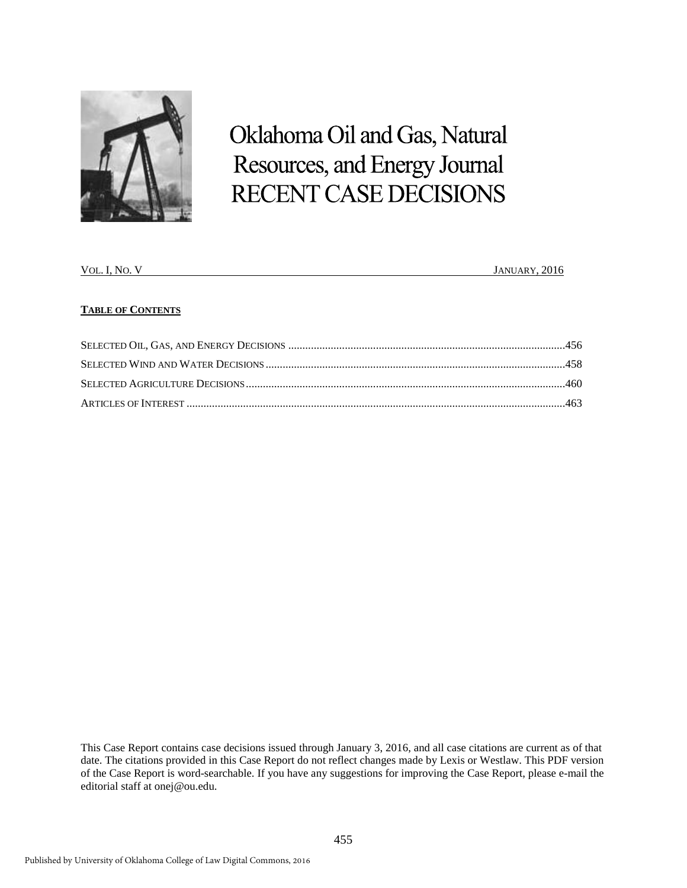

# Oklahoma Oil and Gas, Natural Resources, and Energy Journal RECENT CASE DECISIONS

| $VOL.$ $l1$<br>I No | JANUARY, 2016 |
|---------------------|---------------|
|                     |               |

#### **TABLE OF CONTENTS**

This Case Report contains case decisions issued through January 3, 2016, and all case citations are current as of that date. The citations provided in this Case Report do not reflect changes made by Lexis or Westlaw. This PDF version of the Case Report is word-searchable. If you have any suggestions for improving the Case Report, please e-mail the editorial staff at onej@ou.edu.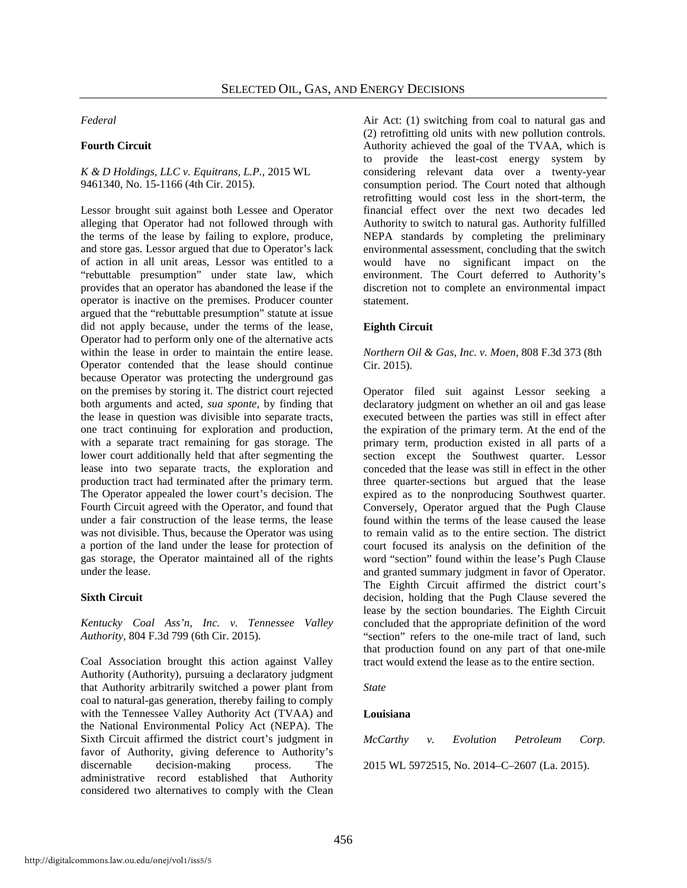*Federal*

#### **Fourth Circuit**

#### *K & D Holdings, LLC v. Equitrans, L.P.*, 2015 WL 9461340, No. 15-1166 (4th Cir. 2015).

Lessor brought suit against both Lessee and Operator alleging that Operator had not followed through with the terms of the lease by failing to explore, produce, and store gas. Lessor argued that due to Operator's lack of action in all unit areas, Lessor was entitled to a "rebuttable presumption" under state law, which provides that an operator has abandoned the lease if the operator is inactive on the premises. Producer counter argued that the "rebuttable presumption" statute at issue did not apply because, under the terms of the lease, Operator had to perform only one of the alternative acts within the lease in order to maintain the entire lease. Operator contended that the lease should continue because Operator was protecting the underground gas on the premises by storing it. The district court rejected both arguments and acted, *sua sponte*, by finding that the lease in question was divisible into separate tracts, one tract continuing for exploration and production, with a separate tract remaining for gas storage. The lower court additionally held that after segmenting the lease into two separate tracts, the exploration and production tract had terminated after the primary term. The Operator appealed the lower court's decision. The Fourth Circuit agreed with the Operator, and found that under a fair construction of the lease terms, the lease was not divisible. Thus, because the Operator was using a portion of the land under the lease for protection of gas storage, the Operator maintained all of the rights under the lease.

#### **Sixth Circuit**

*Kentucky Coal Ass'n, Inc. v. Tennessee Valley Authority*, 804 F.3d 799 (6th Cir. 2015).

Coal Association brought this action against Valley Authority (Authority), pursuing a declaratory judgment that Authority arbitrarily switched a power plant from coal to natural-gas generation, thereby failing to comply with the Tennessee Valley Authority Act (TVAA) and the National Environmental Policy Act (NEPA). The Sixth Circuit affirmed the district court's judgment in favor of Authority, giving deference to Authority's discernable decision-making process. The administrative record established that Authority considered two alternatives to comply with the Clean

Air Act: (1) switching from coal to natural gas and (2) retrofitting old units with new pollution controls. Authority achieved the goal of the TVAA, which is to provide the least-cost energy system by considering relevant data over a twenty-year consumption period. The Court noted that although retrofitting would cost less in the short-term, the financial effect over the next two decades led Authority to switch to natural gas. Authority fulfilled NEPA standards by completing the preliminary environmental assessment, concluding that the switch would have no significant impact on the environment. The Court deferred to Authority's discretion not to complete an environmental impact statement.

#### **Eighth Circuit**

*Northern Oil & Gas, Inc. v. Moen*, 808 F.3d 373 (8th Cir. 2015).

Operator filed suit against Lessor seeking a declaratory judgment on whether an oil and gas lease executed between the parties was still in effect after the expiration of the primary term. At the end of the primary term, production existed in all parts of a section except the Southwest quarter. Lessor conceded that the lease was still in effect in the other three quarter-sections but argued that the lease expired as to the nonproducing Southwest quarter. Conversely, Operator argued that the Pugh Clause found within the terms of the lease caused the lease to remain valid as to the entire section. The district court focused its analysis on the definition of the word "section" found within the lease's Pugh Clause and granted summary judgment in favor of Operator. The Eighth Circuit affirmed the district court's decision, holding that the Pugh Clause severed the lease by the section boundaries. The Eighth Circuit concluded that the appropriate definition of the word "section" refers to the one-mile tract of land, such that production found on any part of that one-mile tract would extend the lease as to the entire section.

#### *State*

#### **Louisiana**

| McCarthy v. Evolution                        |  |  | Petroleum Corp. |  |  |
|----------------------------------------------|--|--|-----------------|--|--|
| 2015 WL 5972515, No. 2014–C–2607 (La. 2015). |  |  |                 |  |  |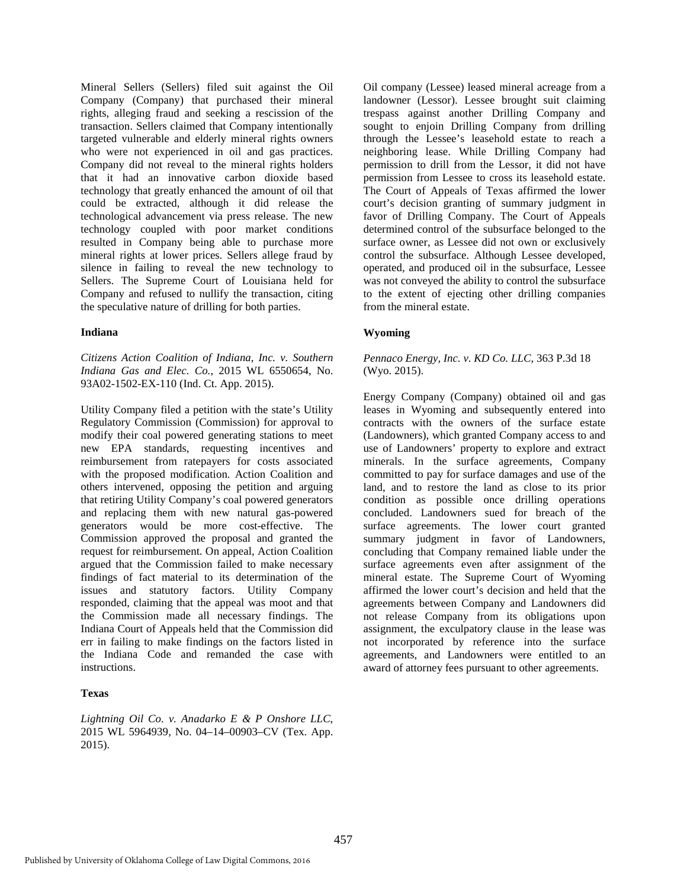Mineral Sellers (Sellers) filed suit against the Oil Company (Company) that purchased their mineral rights, alleging fraud and seeking a rescission of the transaction. Sellers claimed that Company intentionally targeted vulnerable and elderly mineral rights owners who were not experienced in oil and gas practices. Company did not reveal to the mineral rights holders that it had an innovative carbon dioxide based technology that greatly enhanced the amount of oil that could be extracted, although it did release the technological advancement via press release. The new technology coupled with poor market conditions resulted in Company being able to purchase more mineral rights at lower prices. Sellers allege fraud by silence in failing to reveal the new technology to Sellers. The Supreme Court of Louisiana held for Company and refused to nullify the transaction, citing the speculative nature of drilling for both parties.

#### **Indiana**

*Citizens Action Coalition of Indiana, Inc. v. Southern Indiana Gas and Elec. Co.*, 2015 WL 6550654, No. 93A02-1502-EX-110 (Ind. Ct. App. 2015).

Utility Company filed a petition with the state's Utility Regulatory Commission (Commission) for approval to modify their coal powered generating stations to meet new EPA standards, requesting incentives and reimbursement from ratepayers for costs associated with the proposed modification. Action Coalition and others intervened, opposing the petition and arguing that retiring Utility Company's coal powered generators and replacing them with new natural gas-powered generators would be more cost-effective. The Commission approved the proposal and granted the request for reimbursement. On appeal, Action Coalition argued that the Commission failed to make necessary findings of fact material to its determination of the issues and statutory factors. Utility Company responded, claiming that the appeal was moot and that the Commission made all necessary findings. The Indiana Court of Appeals held that the Commission did err in failing to make findings on the factors listed in the Indiana Code and remanded the case with instructions.

#### **Texas**

*Lightning Oil Co. v. Anadarko E & P Onshore LLC*, 2015 WL 5964939, No. 04–14–00903–CV (Tex. App. 2015).

Oil company (Lessee) leased mineral acreage from a landowner (Lessor). Lessee brought suit claiming trespass against another Drilling Company and sought to enjoin Drilling Company from drilling through the Lessee's leasehold estate to reach a neighboring lease. While Drilling Company had permission to drill from the Lessor, it did not have permission from Lessee to cross its leasehold estate. The Court of Appeals of Texas affirmed the lower court's decision granting of summary judgment in favor of Drilling Company. The Court of Appeals determined control of the subsurface belonged to the surface owner, as Lessee did not own or exclusively control the subsurface. Although Lessee developed, operated, and produced oil in the subsurface, Lessee was not conveyed the ability to control the subsurface to the extent of ejecting other drilling companies from the mineral estate.

#### **Wyoming**

#### *Pennaco Energy, Inc. v. KD Co. LLC*, 363 P.3d 18 (Wyo. 2015).

Energy Company (Company) obtained oil and gas leases in Wyoming and subsequently entered into contracts with the owners of the surface estate (Landowners), which granted Company access to and use of Landowners' property to explore and extract minerals. In the surface agreements, Company committed to pay for surface damages and use of the land, and to restore the land as close to its prior condition as possible once drilling operations concluded. Landowners sued for breach of the surface agreements. The lower court granted summary judgment in favor of Landowners, concluding that Company remained liable under the surface agreements even after assignment of the mineral estate. The Supreme Court of Wyoming affirmed the lower court's decision and held that the agreements between Company and Landowners did not release Company from its obligations upon assignment, the exculpatory clause in the lease was not incorporated by reference into the surface agreements, and Landowners were entitled to an award of attorney fees pursuant to other agreements.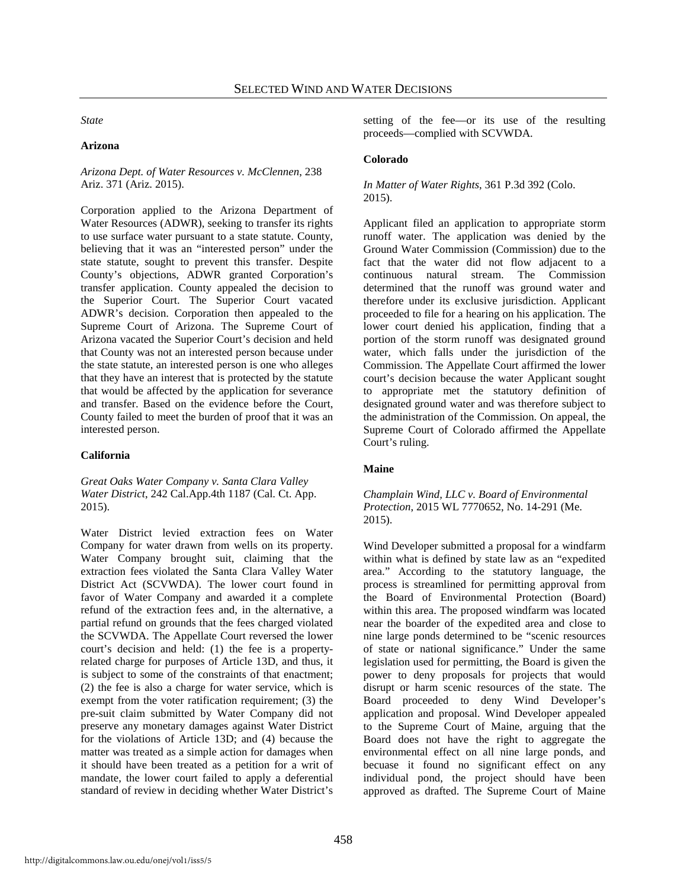*State*

#### **Arizona**

*Arizona Dept. of Water Resources v. McClennen*, 238 Ariz. 371 (Ariz. 2015).

Corporation applied to the Arizona Department of Water Resources (ADWR), seeking to transfer its rights to use surface water pursuant to a state statute. County, believing that it was an "interested person" under the state statute, sought to prevent this transfer. Despite County's objections, ADWR granted Corporation's transfer application. County appealed the decision to the Superior Court. The Superior Court vacated ADWR's decision. Corporation then appealed to the Supreme Court of Arizona. The Supreme Court of Arizona vacated the Superior Court's decision and held that County was not an interested person because under the state statute, an interested person is one who alleges that they have an interest that is protected by the statute that would be affected by the application for severance and transfer. Based on the evidence before the Court, County failed to meet the burden of proof that it was an interested person.

#### **California**

*Great Oaks Water Company v. Santa Clara Valley Water District*, 242 Cal.App.4th 1187 (Cal. Ct. App. 2015).

Water District levied extraction fees on Water Company for water drawn from wells on its property. Water Company brought suit, claiming that the extraction fees violated the Santa Clara Valley Water District Act (SCVWDA). The lower court found in favor of Water Company and awarded it a complete refund of the extraction fees and, in the alternative, a partial refund on grounds that the fees charged violated the SCVWDA. The Appellate Court reversed the lower court's decision and held: (1) the fee is a propertyrelated charge for purposes of Article 13D, and thus, it is subject to some of the constraints of that enactment; (2) the fee is also a charge for water service, which is exempt from the voter ratification requirement; (3) the pre-suit claim submitted by Water Company did not preserve any monetary damages against Water District for the violations of Article 13D; and (4) because the matter was treated as a simple action for damages when it should have been treated as a petition for a writ of mandate, the lower court failed to apply a deferential standard of review in deciding whether Water District's

setting of the fee—or its use of the resulting proceeds—complied with SCVWDA.

#### **Colorado**

#### *In Matter of Water Rights*, 361 P.3d 392 (Colo. 2015).

Applicant filed an application to appropriate storm runoff water. The application was denied by the Ground Water Commission (Commission) due to the fact that the water did not flow adjacent to a continuous natural stream. The Commission determined that the runoff was ground water and therefore under its exclusive jurisdiction. Applicant proceeded to file for a hearing on his application. The lower court denied his application, finding that a portion of the storm runoff was designated ground water, which falls under the jurisdiction of the Commission. The Appellate Court affirmed the lower court's decision because the water Applicant sought to appropriate met the statutory definition of designated ground water and was therefore subject to the administration of the Commission. On appeal, the Supreme Court of Colorado affirmed the Appellate Court's ruling.

#### **Maine**

#### *Champlain Wind, LLC v. Board of Environmental Protection*, 2015 WL 7770652, No. 14-291 (Me. 2015).

Wind Developer submitted a proposal for a windfarm within what is defined by state law as an "expedited area." According to the statutory language, the process is streamlined for permitting approval from the Board of Environmental Protection (Board) within this area. The proposed windfarm was located near the boarder of the expedited area and close to nine large ponds determined to be "scenic resources of state or national significance." Under the same legislation used for permitting, the Board is given the power to deny proposals for projects that would disrupt or harm scenic resources of the state. The Board proceeded to deny Wind Developer's application and proposal. Wind Developer appealed to the Supreme Court of Maine, arguing that the Board does not have the right to aggregate the environmental effect on all nine large ponds, and becuase it found no significant effect on any individual pond, the project should have been approved as drafted. The Supreme Court of Maine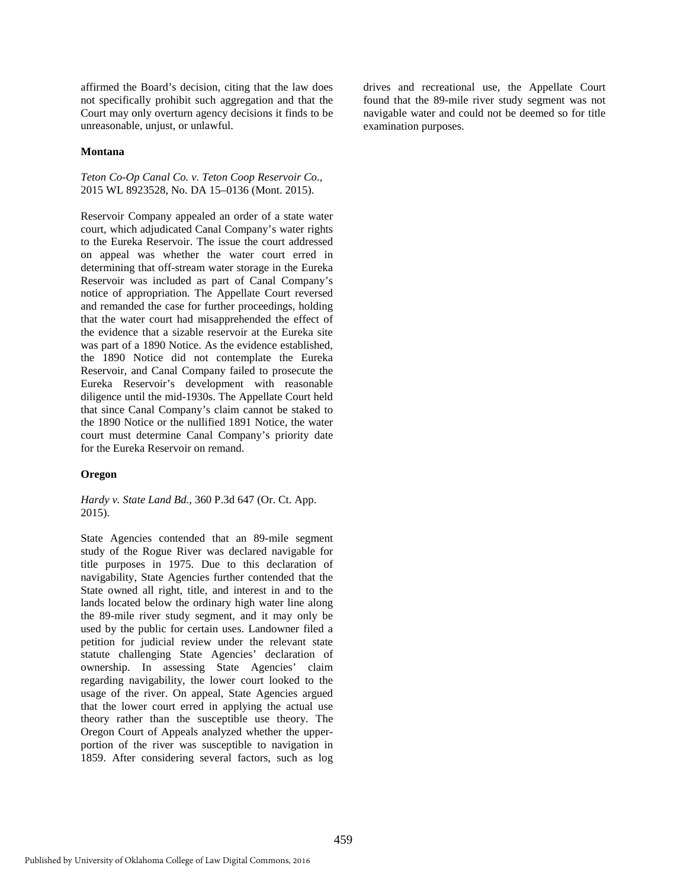affirmed the Board's decision, citing that the law does not specifically prohibit such aggregation and that the Court may only overturn agency decisions it finds to be unreasonable, unjust, or unlawful.

#### **Montana**

*Teton Co-Op Canal Co. v. Teton Coop Reservoir Co.*, 2015 WL 8923528, No. DA 15–0136 (Mont. 2015).

Reservoir Company appealed an order of a state water court, which adjudicated Canal Company's water rights to the Eureka Reservoir. The issue the court addressed on appeal was whether the water court erred in determining that off-stream water storage in the Eureka Reservoir was included as part of Canal Company's notice of appropriation. The Appellate Court reversed and remanded the case for further proceedings, holding that the water court had misapprehended the effect of the evidence that a sizable reservoir at the Eureka site was part of a 1890 Notice. As the evidence established, the 1890 Notice did not contemplate the Eureka Reservoir, and Canal Company failed to prosecute the Eureka Reservoir's development with reasonable diligence until the mid-1930s. The Appellate Court held that since Canal Company's claim cannot be staked to the 1890 Notice or the nullified 1891 Notice, the water court must determine Canal Company's priority date for the Eureka Reservoir on remand.

#### **Oregon**

*Hardy v. State Land Bd.*, 360 P.3d 647 (Or. Ct. App. 2015).

State Agencies contended that an 89-mile segment study of the Rogue River was declared navigable for title purposes in 1975. Due to this declaration of navigability, State Agencies further contended that the State owned all right, title, and interest in and to the lands located below the ordinary high water line along the 89-mile river study segment, and it may only be used by the public for certain uses. Landowner filed a petition for judicial review under the relevant state statute challenging State Agencies' declaration of ownership. In assessing State Agencies' claim regarding navigability, the lower court looked to the usage of the river. On appeal, State Agencies argued that the lower court erred in applying the actual use theory rather than the susceptible use theory. The Oregon Court of Appeals analyzed whether the upperportion of the river was susceptible to navigation in 1859. After considering several factors, such as log

drives and recreational use, the Appellate Court found that the 89-mile river study segment was not navigable water and could not be deemed so for title examination purposes.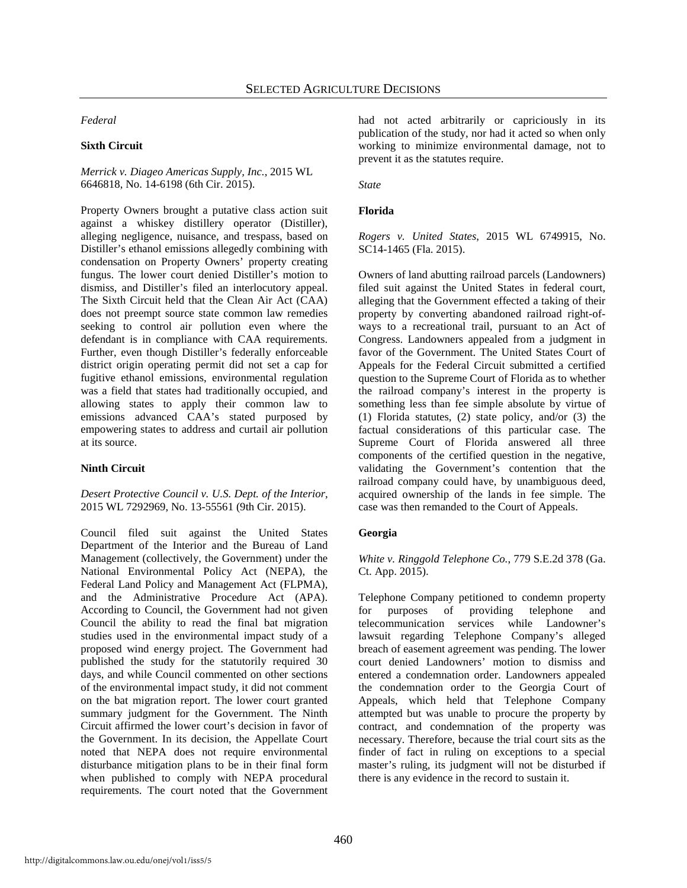#### *Federal*

#### **Sixth Circuit**

#### *Merrick v. Diageo Americas Supply, Inc.*, 2015 WL 6646818, No. 14-6198 (6th Cir. 2015).

Property Owners brought a putative class action suit against a whiskey distillery operator (Distiller), alleging negligence, nuisance, and trespass, based on Distiller's ethanol emissions allegedly combining with condensation on Property Owners' property creating fungus. The lower court denied Distiller's motion to dismiss, and Distiller's filed an interlocutory appeal. The Sixth Circuit held that the Clean Air Act (CAA) does not preempt source state common law remedies seeking to control air pollution even where the defendant is in compliance with CAA requirements. Further, even though Distiller's federally enforceable district origin operating permit did not set a cap for fugitive ethanol emissions, environmental regulation was a field that states had traditionally occupied, and allowing states to apply their common law to emissions advanced CAA's stated purposed by empowering states to address and curtail air pollution at its source.

#### **Ninth Circuit**

*Desert Protective Council v. U.S. Dept. of the Interior*, 2015 WL 7292969, No. 13-55561 (9th Cir. 2015).

Council filed suit against the United States Department of the Interior and the Bureau of Land Management (collectively, the Government) under the National Environmental Policy Act (NEPA), the Federal Land Policy and Management Act (FLPMA), and the Administrative Procedure Act (APA). According to Council, the Government had not given Council the ability to read the final bat migration studies used in the environmental impact study of a proposed wind energy project. The Government had published the study for the statutorily required 30 days, and while Council commented on other sections of the environmental impact study, it did not comment on the bat migration report. The lower court granted summary judgment for the Government. The Ninth Circuit affirmed the lower court's decision in favor of the Government. In its decision, the Appellate Court noted that NEPA does not require environmental disturbance mitigation plans to be in their final form when published to comply with NEPA procedural requirements. The court noted that the Government had not acted arbitrarily or capriciously in its publication of the study, nor had it acted so when only working to minimize environmental damage, not to prevent it as the statutes require.

*State*

#### **Florida**

*Rogers v. United States*, 2015 WL 6749915, No. SC14-1465 (Fla. 2015).

Owners of land abutting railroad parcels (Landowners) filed suit against the United States in federal court, alleging that the Government effected a taking of their property by converting abandoned railroad right-ofways to a recreational trail, pursuant to an Act of Congress. Landowners appealed from a judgment in favor of the Government. The United States Court of Appeals for the Federal Circuit submitted a certified question to the Supreme Court of Florida as to whether the railroad company's interest in the property is something less than fee simple absolute by virtue of (1) Florida statutes, (2) state policy, and/or (3) the factual considerations of this particular case. The Supreme Court of Florida answered all three components of the certified question in the negative, validating the Government's contention that the railroad company could have, by unambiguous deed, acquired ownership of the lands in fee simple. The case was then remanded to the Court of Appeals.

#### **Georgia**

*White v. Ringgold Telephone Co.*, 779 S.E.2d 378 (Ga. Ct. App. 2015).

Telephone Company petitioned to condemn property for purposes of providing telephone and telecommunication services while Landowner's lawsuit regarding Telephone Company's alleged breach of easement agreement was pending. The lower court denied Landowners' motion to dismiss and entered a condemnation order. Landowners appealed the condemnation order to the Georgia Court of Appeals, which held that Telephone Company attempted but was unable to procure the property by contract, and condemnation of the property was necessary. Therefore, because the trial court sits as the finder of fact in ruling on exceptions to a special master's ruling, its judgment will not be disturbed if there is any evidence in the record to sustain it.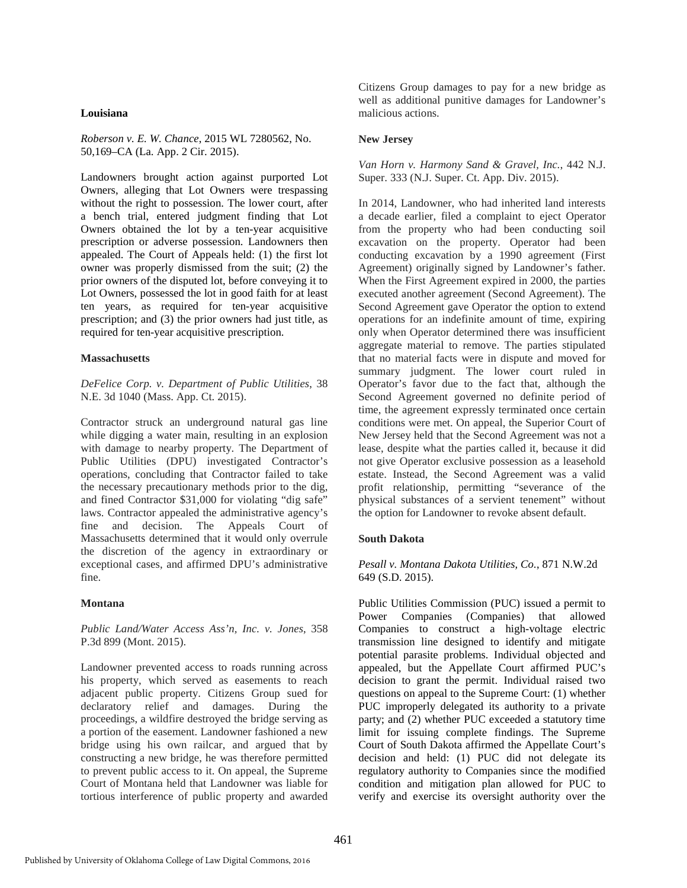#### **Louisiana**

*Roberson v. E. W. Chance*, 2015 WL 7280562, No. 50,169–CA (La. App. 2 Cir. 2015).

Landowners brought action against purported Lot Owners, alleging that Lot Owners were trespassing without the right to possession. The lower court, after a bench trial, entered judgment finding that Lot Owners obtained the lot by a ten-year acquisitive prescription or adverse possession. Landowners then appealed. The Court of Appeals held: (1) the first lot owner was properly dismissed from the suit; (2) the prior owners of the disputed lot, before conveying it to Lot Owners, possessed the lot in good faith for at least ten years, as required for ten-year acquisitive prescription; and (3) the prior owners had just title, as required for ten-year acquisitive prescription.

#### **Massachusetts**

*DeFelice Corp. v. Department of Public Utilities*, 38 N.E. 3d 1040 (Mass. App. Ct. 2015).

Contractor struck an underground natural gas line while digging a water main, resulting in an explosion with damage to nearby property. The Department of Public Utilities (DPU) investigated Contractor's operations, concluding that Contractor failed to take the necessary precautionary methods prior to the dig, and fined Contractor \$31,000 for violating "dig safe" laws. Contractor appealed the administrative agency's fine and decision. The Appeals Court of Massachusetts determined that it would only overrule the discretion of the agency in extraordinary or exceptional cases, and affirmed DPU's administrative fine.

#### **Montana**

*Public Land/Water Access Ass'n, Inc. v. Jones*, 358 P.3d 899 (Mont. 2015).

Landowner prevented access to roads running across his property, which served as easements to reach adjacent public property. Citizens Group sued for declaratory relief and damages. During the proceedings, a wildfire destroyed the bridge serving as a portion of the easement. Landowner fashioned a new bridge using his own railcar, and argued that by constructing a new bridge, he was therefore permitted to prevent public access to it. On appeal, the Supreme Court of Montana held that Landowner was liable for tortious interference of public property and awarded Citizens Group damages to pay for a new bridge as well as additional punitive damages for Landowner's malicious actions.

#### **New Jersey**

*Van Horn v. Harmony Sand & Gravel, Inc.*, 442 N.J. Super. 333 (N.J. Super. Ct. App. Div. 2015).

In 2014, Landowner, who had inherited land interests a decade earlier, filed a complaint to eject Operator from the property who had been conducting soil excavation on the property. Operator had been conducting excavation by a 1990 agreement (First Agreement) originally signed by Landowner's father. When the First Agreement expired in 2000, the parties executed another agreement (Second Agreement). The Second Agreement gave Operator the option to extend operations for an indefinite amount of time, expiring only when Operator determined there was insufficient aggregate material to remove. The parties stipulated that no material facts were in dispute and moved for summary judgment. The lower court ruled in Operator's favor due to the fact that, although the Second Agreement governed no definite period of time, the agreement expressly terminated once certain conditions were met. On appeal, the Superior Court of New Jersey held that the Second Agreement was not a lease, despite what the parties called it, because it did not give Operator exclusive possession as a leasehold estate. Instead, the Second Agreement was a valid profit relationship, permitting "severance of the physical substances of a servient tenement" without the option for Landowner to revoke absent default.

#### **South Dakota**

*Pesall v. Montana Dakota Utilities, Co.*, 871 N.W.2d 649 (S.D. 2015).

Public Utilities Commission (PUC) issued a permit to Power Companies (Companies) that allowed Companies to construct a high-voltage electric transmission line designed to identify and mitigate potential parasite problems. Individual objected and appealed, but the Appellate Court affirmed PUC's decision to grant the permit. Individual raised two questions on appeal to the Supreme Court: (1) whether PUC improperly delegated its authority to a private party; and (2) whether PUC exceeded a statutory time limit for issuing complete findings. The Supreme Court of South Dakota affirmed the Appellate Court's decision and held: (1) PUC did not delegate its regulatory authority to Companies since the modified condition and mitigation plan allowed for PUC to verify and exercise its oversight authority over the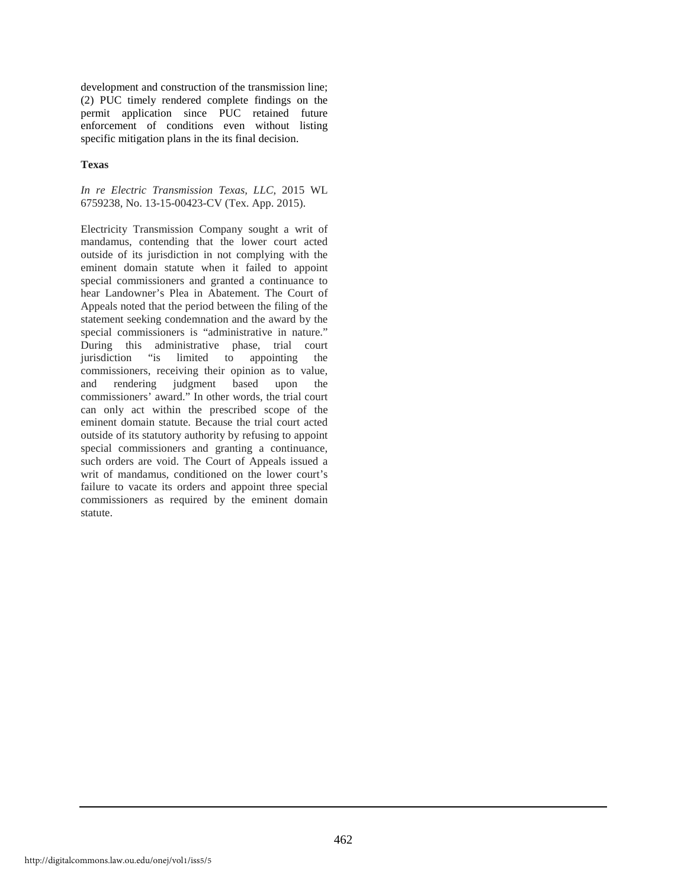development and construction of the transmission line; (2) PUC timely rendered complete findings on the permit application since PUC retained future enforcement of conditions even without listing specific mitigation plans in the its final decision.

#### **Texas**

#### *In re Electric Transmission Texas, LLC*, 2015 WL 6759238, No. 13-15-00423-CV (Tex. App. 2015).

Electricity Transmission Company sought a writ of mandamus, contending that the lower court acted outside of its jurisdiction in not complying with the eminent domain statute when it failed to appoint special commissioners and granted a continuance to hear Landowner's Plea in Abatement. The Court of Appeals noted that the period between the filing of the statement seeking condemnation and the award by the special commissioners is "administrative in nature." During this administrative phase, trial court jurisdiction "is limited to appointing the commissioners, receiving their opinion as to value, and rendering judgment based upon the commissioners' award." In other words, the trial court can only act within the prescribed scope of the eminent domain statute. Because the trial court acted outside of its statutory authority by refusing to appoint special commissioners and granting a continuance, such orders are void. The Court of Appeals issued a writ of mandamus, conditioned on the lower court's failure to vacate its orders and appoint three special commissioners as required by the eminent domain statute.